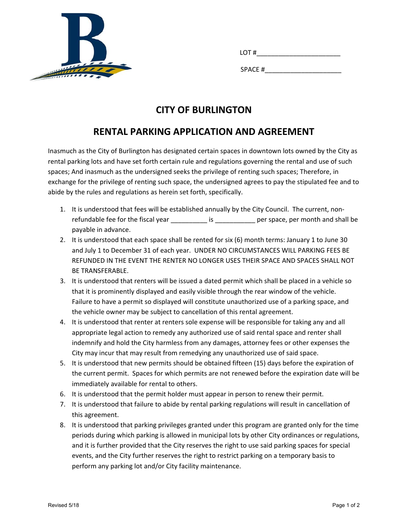

| --                      |
|-------------------------|
|                         |
| <b>SPAC</b><br>- -<br>. |

## **CITY OF BURLINGTON**

## **RENTAL PARKING APPLICATION AND AGREEMENT**

Inasmuch as the City of Burlington has designated certain spaces in downtown lots owned by the City as rental parking lots and have set forth certain rule and regulations governing the rental and use of such spaces; And inasmuch as the undersigned seeks the privilege of renting such spaces; Therefore, in exchange for the privilege of renting such space, the undersigned agrees to pay the stipulated fee and to abide by the rules and regulations as herein set forth, specifically.

- 1. It is understood that fees will be established annually by the City Council. The current, non‐ refundable fee for the fiscal year \_\_\_\_\_\_\_\_\_\_\_\_\_ is \_\_\_\_\_\_\_\_\_\_\_\_\_\_ per space, per month and shall be payable in advance.
- 2. It is understood that each space shall be rented for six (6) month terms: January 1 to June 30 and July 1 to December 31 of each year. UNDER NO CIRCUMSTANCES WILL PARKING FEES BE REFUNDED IN THE EVENT THE RENTER NO LONGER USES THEIR SPACE AND SPACES SHALL NOT BE TRANSFERABLE.
- 3. It is understood that renters will be issued a dated permit which shall be placed in a vehicle so that it is prominently displayed and easily visible through the rear window of the vehicle. Failure to have a permit so displayed will constitute unauthorized use of a parking space, and the vehicle owner may be subject to cancellation of this rental agreement.
- 4. It is understood that renter at renters sole expense will be responsible for taking any and all appropriate legal action to remedy any authorized use of said rental space and renter shall indemnify and hold the City harmless from any damages, attorney fees or other expenses the City may incur that may result from remedying any unauthorized use of said space.
- 5. It is understood that new permits should be obtained fifteen (15) days before the expiration of the current permit. Spaces for which permits are not renewed before the expiration date will be immediately available for rental to others.
- 6. It is understood that the permit holder must appear in person to renew their permit.
- 7. It is understood that failure to abide by rental parking regulations will result in cancellation of this agreement.
- 8. It is understood that parking privileges granted under this program are granted only for the time periods during which parking is allowed in municipal lots by other City ordinances or regulations, and it is further provided that the City reserves the right to use said parking spaces for special events, and the City further reserves the right to restrict parking on a temporary basis to perform any parking lot and/or City facility maintenance.